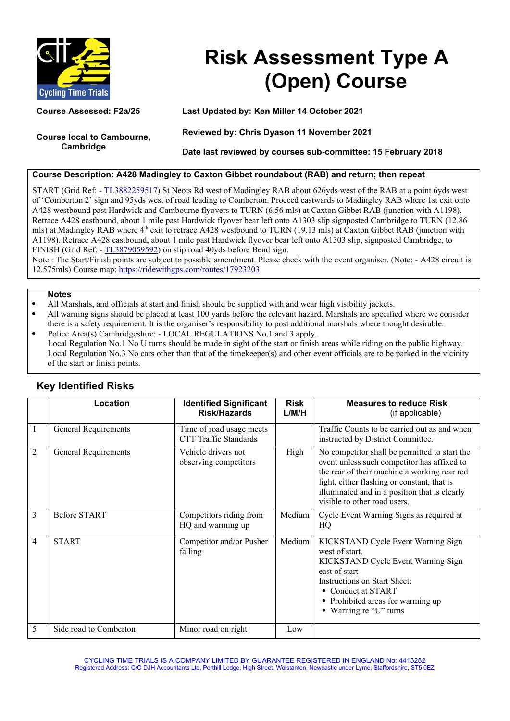

# **Risk Assessment Type A (Open) Course**

**Course local to Cambourne, Cambridge**

**Course Assessed: F2a/25 Last Updated by: Ken Miller 14 October 2021**

**Reviewed by: Chris Dyason 11 November 2021**

**Date last reviewed by courses sub-committee: 15 February 2018**

### **Course Description: A428 Madingley to Caxton Gibbet roundabout (RAB) and return; then repeat**

START (Grid Ref: - [TL3882259517\)](https://gridreferencefinder.com/) St Neots Rd west of Madingley RAB about 626yds west of the RAB at a point 6yds west of 'Comberton 2' sign and 95yds west of road leading to Comberton. Proceed eastwards to Madingley RAB where 1st exit onto A428 westbound past Hardwick and Cambourne flyovers to TURN (6.56 mls) at Caxton Gibbet RAB (junction with A1198). Retrace A428 eastbound, about 1 mile past Hardwick flyover bear left onto A1303 slip signposted Cambridge to TURN (12.86 mls) at Madingley RAB where 4<sup>th</sup> exit to retrace A428 westbound to TURN (19.13 mls) at Caxton Gibbet RAB (junction with A1198). Retrace A428 eastbound, about 1 mile past Hardwick flyover bear left onto A1303 slip, signposted Cambridge, to FINISH (Grid Ref: - [TL3879059592\)](https://gridreferencefinder.com/) on slip road 40yds before Bend sign.

Note : The Start/Finish points are subject to possible amendment. Please check with the event organiser. (Note: - A428 circuit is 12.575mls) Course map:<https://ridewithgps.com/routes/17923203>

#### **Notes**

- All Marshals, and officials at start and finish should be supplied with and wear high visibility jackets.
- All warning signs should be placed at least 100 yards before the relevant hazard. Marshals are specified where we consider there is a safety requirement. It is the organiser's responsibility to post additional marshals where thought desirable. Police Area(s) Cambridgeshire: - LOCAL REGULATIONS No.1 and 3 apply.
- Local Regulation No.1 No U turns should be made in sight of the start or finish areas while riding on the public highway. Local Regulation No.3 No cars other than that of the timekeeper(s) and other event officials are to be parked in the vicinity of the start or finish points.

|              | Location                    | <b>Identified Significant</b><br><b>Risk/Hazards</b>     | <b>Risk</b><br>L/M/H | <b>Measures to reduce Risk</b><br>(if applicable)                                                                                                                                                                                                                            |
|--------------|-----------------------------|----------------------------------------------------------|----------------------|------------------------------------------------------------------------------------------------------------------------------------------------------------------------------------------------------------------------------------------------------------------------------|
| $\mathbf{1}$ | General Requirements        | Time of road usage meets<br><b>CTT Traffic Standards</b> |                      | Traffic Counts to be carried out as and when<br>instructed by District Committee.                                                                                                                                                                                            |
| 2            | <b>General Requirements</b> | Vehicle drivers not<br>observing competitors             | High                 | No competitor shall be permitted to start the<br>event unless such competitor has affixed to<br>the rear of their machine a working rear red<br>light, either flashing or constant, that is<br>illuminated and in a position that is clearly<br>visible to other road users. |
| 3            | <b>Before START</b>         | Competitors riding from<br>HQ and warming up             | Medium               | Cycle Event Warning Signs as required at<br>HQ                                                                                                                                                                                                                               |
| 4            | <b>START</b>                | Competitor and/or Pusher<br>falling                      | Medium               | KICKSTAND Cycle Event Warning Sign<br>west of start.<br>KICKSTAND Cycle Event Warning Sign<br>east of start<br>Instructions on Start Sheet:<br>• Conduct at START<br>• Prohibited areas for warming up<br>• Warning re "U" turns                                             |
| 5            | Side road to Comberton      | Minor road on right                                      | Low                  |                                                                                                                                                                                                                                                                              |

## **Key Identified Risks**

CYCLING TIME TRIALS IS A COMPANY LIMITED BY GUARANTEE REGISTERED IN ENGLAND No: 4413282 Registered Address: C/O DJH Accountants Ltd, Porthill Lodge, High Street, Wolstanton, Newcastle under Lyme, Staffordshire, ST5 0EZ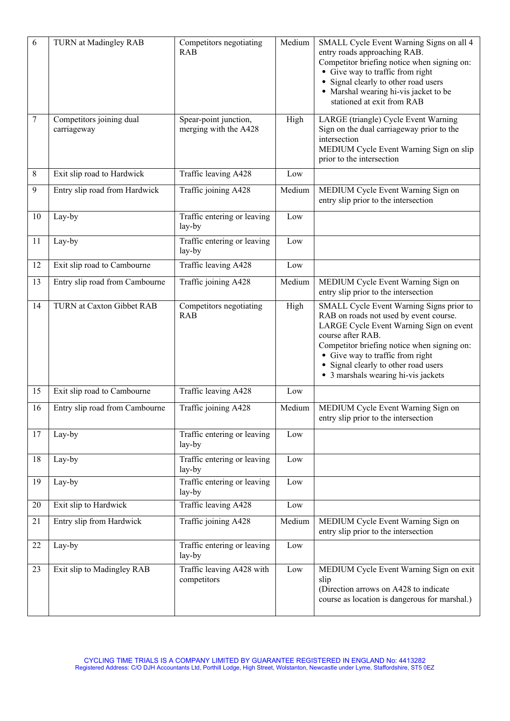| 6  | TURN at Madingley RAB                   | Competitors negotiating<br><b>RAB</b>          | Medium          | SMALL Cycle Event Warning Signs on all 4<br>entry roads approaching RAB.<br>Competitor briefing notice when signing on:<br>• Give way to traffic from right<br>• Signal clearly to other road users<br>• Marshal wearing hi-vis jacket to be<br>stationed at exit from RAB                                           |
|----|-----------------------------------------|------------------------------------------------|-----------------|----------------------------------------------------------------------------------------------------------------------------------------------------------------------------------------------------------------------------------------------------------------------------------------------------------------------|
| 7  | Competitors joining dual<br>carriageway | Spear-point junction,<br>merging with the A428 | High            | LARGE (triangle) Cycle Event Warning<br>Sign on the dual carriageway prior to the<br>intersection<br>MEDIUM Cycle Event Warning Sign on slip<br>prior to the intersection                                                                                                                                            |
| 8  | Exit slip road to Hardwick              | Traffic leaving A428                           | Low             |                                                                                                                                                                                                                                                                                                                      |
| 9  | Entry slip road from Hardwick           | Traffic joining A428                           | Medium          | MEDIUM Cycle Event Warning Sign on<br>entry slip prior to the intersection                                                                                                                                                                                                                                           |
| 10 | Lay-by                                  | Traffic entering or leaving<br>lay-by          | Low             |                                                                                                                                                                                                                                                                                                                      |
| 11 | Lay-by                                  | Traffic entering or leaving<br>lay-by          | Low             |                                                                                                                                                                                                                                                                                                                      |
| 12 | Exit slip road to Cambourne             | Traffic leaving A428                           | Low             |                                                                                                                                                                                                                                                                                                                      |
| 13 | Entry slip road from Cambourne          | Traffic joining A428                           | Medium          | MEDIUM Cycle Event Warning Sign on<br>entry slip prior to the intersection                                                                                                                                                                                                                                           |
| 14 | TURN at Caxton Gibbet RAB               | Competitors negotiating<br><b>RAB</b>          | High            | SMALL Cycle Event Warning Signs prior to<br>RAB on roads not used by event course.<br>LARGE Cycle Event Warning Sign on event<br>course after RAB.<br>Competitor briefing notice when signing on:<br>• Give way to traffic from right<br>• Signal clearly to other road users<br>• 3 marshals wearing hi-vis jackets |
| 15 | Exit slip road to Cambourne             | Traffic leaving A428                           | $_{\text{Low}}$ |                                                                                                                                                                                                                                                                                                                      |
| 16 | Entry slip road from Cambourne          | Traffic joining A428                           | Medium          | MEDIUM Cycle Event Warning Sign on<br>entry slip prior to the intersection                                                                                                                                                                                                                                           |
| 17 | Lay-by                                  | Traffic entering or leaving<br>lay-by          | Low             |                                                                                                                                                                                                                                                                                                                      |
| 18 | Lay-by                                  | Traffic entering or leaving<br>lay-by          | Low             |                                                                                                                                                                                                                                                                                                                      |
| 19 | Lay-by                                  | Traffic entering or leaving<br>lay-by          | Low             |                                                                                                                                                                                                                                                                                                                      |
| 20 | Exit slip to Hardwick                   | Traffic leaving A428                           | Low             |                                                                                                                                                                                                                                                                                                                      |
| 21 | Entry slip from Hardwick                | Traffic joining A428                           | Medium          | MEDIUM Cycle Event Warning Sign on<br>entry slip prior to the intersection                                                                                                                                                                                                                                           |
| 22 | Lay-by                                  | Traffic entering or leaving<br>lay-by          | Low             |                                                                                                                                                                                                                                                                                                                      |
| 23 | Exit slip to Madingley RAB              | Traffic leaving A428 with<br>competitors       | Low             | MEDIUM Cycle Event Warning Sign on exit<br>slip<br>(Direction arrows on A428 to indicate<br>course as location is dangerous for marshal.)                                                                                                                                                                            |